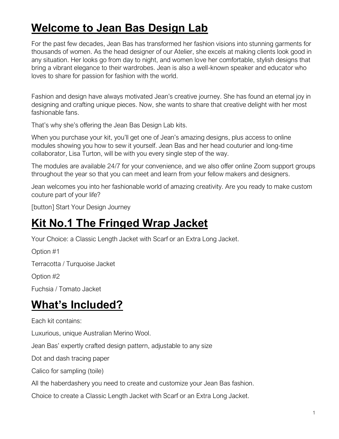### **Welcome to Jean Bas Design Lab**

For the past few decades, Jean Bas has transformed her fashion visions into stunning garments for thousands of women. As the head designer of our Atelier, she excels at making clients look good in any situation. Her looks go from day to night, and women love her comfortable, stylish designs that bring a vibrant elegance to their wardrobes. Jean is also a well-known speaker and educator who loves to share for passion for fashion with the world.

Fashion and design have always motivated Jean's creative journey. She has found an eternal joy in designing and crafting unique pieces. Now, she wants to share that creative delight with her most fashionable fans.

That's why she's offering the Jean Bas Design Lab kits.

When you purchase your kit, you'll get one of Jean's amazing designs, plus access to online modules showing you how to sew it yourself. Jean Bas and her head couturier and long-time collaborator, Lisa Turton, will be with you every single step of the way.

The modules are available 24/7 for your convenience, and we also offer online Zoom support groups throughout the year so that you can meet and learn from your fellow makers and designers.

Jean welcomes you into her fashionable world of amazing creativity. Are you ready to make custom couture part of your life?

[button] Start Your Design Journey

#### **Kit No.1 The Fringed Wrap Jacket**

Your Choice: a Classic Length Jacket with Scarf or an Extra Long Jacket.

Option #1 Terracotta / Turquoise Jacket Option #2

Fuchsia / Tomato Jacket

#### **What's Included?**

Each kit contains:

Luxurious, unique Australian Merino Wool.

Jean Bas' expertly crafted design pattern, adjustable to any size

Dot and dash tracing paper

Calico for sampling (toile)

All the haberdashery you need to create and customize your Jean Bas fashion.

Choice to create a Classic Length Jacket with Scarf or an Extra Long Jacket.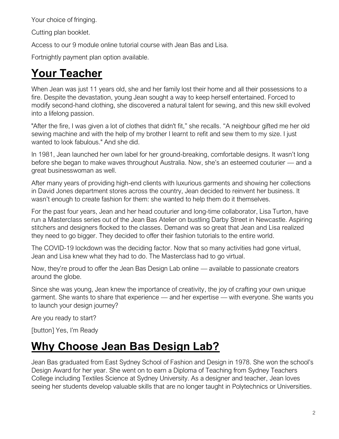Your choice of fringing.

Cutting plan booklet.

Access to our 9 module online tutorial course with Jean Bas and Lisa.

Fortnightly payment plan option available.

## **Your Teacher**

When Jean was just 11 years old, she and her family lost their home and all their possessions to a fire. Despite the devastation, young Jean sought a way to keep herself entertained. Forced to modify second-hand clothing, she discovered a natural talent for sewing, and this new skill evolved into a lifelong passion.

"After the fire, I was given a lot of clothes that didn't fit," she recalls. "A neighbour gifted me her old sewing machine and with the help of my brother I learnt to refit and sew them to my size. I just wanted to look fabulous." And she did.

In 1981, Jean launched her own label for her ground-breaking, comfortable designs. It wasn't long before she began to make waves throughout Australia. Now, she's an esteemed couturier — and a great businesswoman as well.

After many years of providing high-end clients with luxurious garments and showing her collections in David Jones department stores across the country, Jean decided to reinvent her business. It wasn't enough to create fashion for them: she wanted to help them do it themselves.

For the past four years, Jean and her head couturier and long-time collaborator, Lisa Turton, have run a Masterclass series out of the Jean Bas Atelier on bustling Darby Street in Newcastle. Aspiring stitchers and designers flocked to the classes. Demand was so great that Jean and Lisa realized they need to go bigger. They decided to offer their fashion tutorials to the entire world.

The COVID-19 lockdown was the deciding factor. Now that so many activities had gone virtual, Jean and Lisa knew what they had to do. The Masterclass had to go virtual.

Now, they're proud to offer the Jean Bas Design Lab online — available to passionate creators around the globe.

Since she was young, Jean knew the importance of creativity, the joy of crafting your own unique garment. She wants to share that experience — and her expertise — with everyone. She wants you to launch your design journey?

Are you ready to start?

[button] Yes, I'm Ready

# **Why Choose Jean Bas Design Lab?**

Jean Bas graduated from East Sydney School of Fashion and Design in 1978. She won the school's Design Award for her year. She went on to earn a Diploma of Teaching from Sydney Teachers College including Textiles Science at Sydney University. As a designer and teacher, Jean loves seeing her students develop valuable skills that are no longer taught in Polytechnics or Universities.